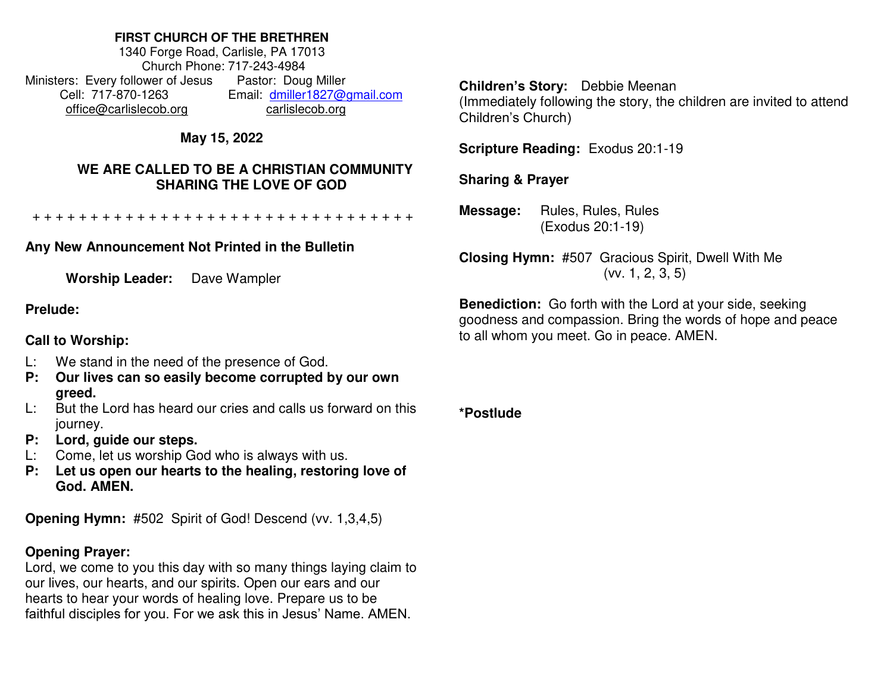#### **FIRST CHURCH OF THE BRETHREN**

1340 Forge Road, Carlisle, PA 17013 Church Phone: 717-243-4984 Ministers: Every follower of Jesus Pastor: Doug Miller Cell: 717-870-1263 Email: [dmiller1827@gmail.com](mailto:dmiller1827@gmail.com) [office@carlislecob.org](mailto:office@carlislecob.org) carlislecob.org

# **May 15, 2022**

## **WE ARE CALLED TO BE A CHRISTIAN COMMUNITY SHARING THE LOVE OF GOD**

+ + + + + + + + + + + + + + + + + + + + + + + + + + + + + + + + +

# **Any New Announcement Not Printed in the Bulletin**

**Worship Leader:** Dave Wampler

#### **Prelude:**

### **Call to Worship:**

- L: We stand in the need of the presence of God.
- **P: Our lives can so easily become corrupted by our own greed.**
- L: But the Lord has heard our cries and calls us forward on this journey.
- **P: Lord, guide our steps.**
- L: Come, let us worship God who is always with us.
- **P: Let us open our hearts to the healing, restoring love of God. AMEN.**

**Opening Hymn:** #502 Spirit of God! Descend (vv. 1,3,4,5)

### **Opening Prayer:**

Lord, we come to you this day with so many things laying claim to our lives, our hearts, and our spirits. Open our ears and our hearts to hear your words of healing love. Prepare us to be faithful disciples for you. For we ask this in Jesus' Name. AMEN.

**Children's Story:** Debbie Meenan

(Immediately following the story, the children are invited to attend Children's Church)

**Scripture Reading:** Exodus 20:1-19

### **Sharing & Prayer**

**Message:** Rules, Rules, Rules (Exodus 20:1-19)

**Closing Hymn:** #507 Gracious Spirit, Dwell With Me (vv. 1, 2, 3, 5)

**Benediction:** Go forth with the Lord at your side, seeking goodness and compassion. Bring the words of hope and peace to all whom you meet. Go in peace. AMEN.

**\*Postlude**